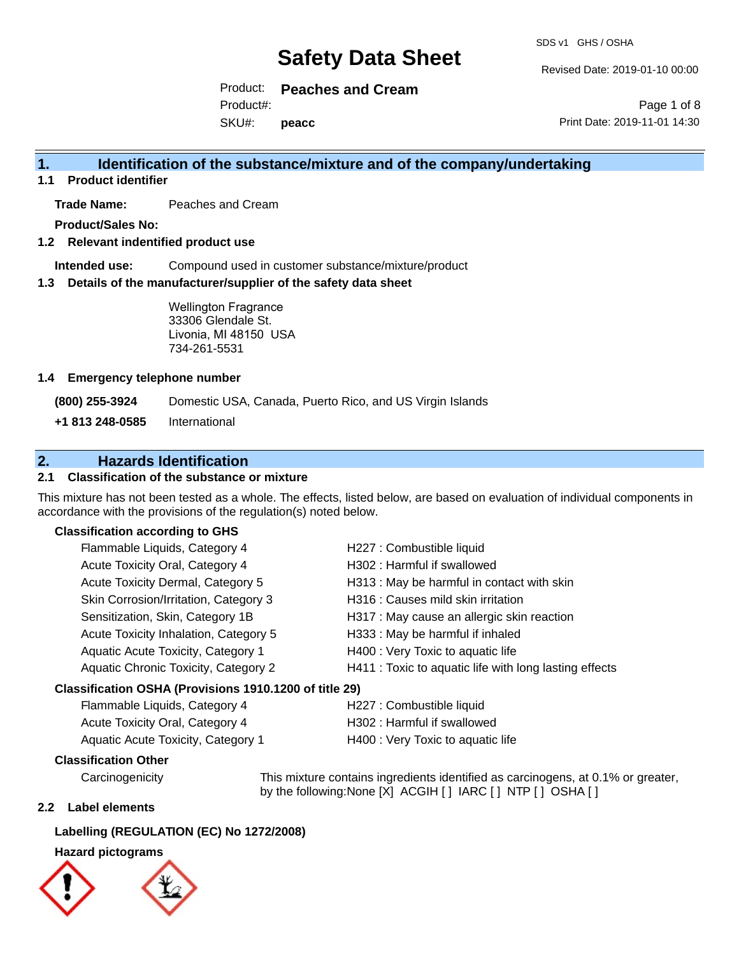SDS v1 GHS / OSHA

Revised Date: 2019-01-10 00:00

Product: **Peaches and Cream** SKU#: Product#: **peacc**

Page 1 of 8 Print Date: 2019-11-01 14:30

## **1. Identification of the substance/mixture and of the company/undertaking**

**1.1 Product identifier**

**Trade Name:** Peaches and Cream

**Product/Sales No:**

### **1.2 Relevant indentified product use**

**Intended use:** Compound used in customer substance/mixture/product

### **1.3 Details of the manufacturer/supplier of the safety data sheet**

Wellington Fragrance 33306 Glendale St. Livonia, MI 48150 USA 734-261-5531

### **1.4 Emergency telephone number**

**(800) 255-3924** Domestic USA, Canada, Puerto Rico, and US Virgin Islands

**+1 813 248-0585** International

## **2. Hazards Identification**

### **2.1 Classification of the substance or mixture**

This mixture has not been tested as a whole. The effects, listed below, are based on evaluation of individual components in accordance with the provisions of the regulation(s) noted below.

### **Classification according to GHS**

| Classification OSHA (Provisions 1910.1200 of title 29) |                                                        |
|--------------------------------------------------------|--------------------------------------------------------|
| Aquatic Chronic Toxicity, Category 2                   | H411 : Toxic to aquatic life with long lasting effects |
| Aquatic Acute Toxicity, Category 1                     | H400 : Very Toxic to aquatic life                      |
| Acute Toxicity Inhalation, Category 5                  | H333: May be harmful if inhaled                        |
| Sensitization, Skin, Category 1B                       | H317 : May cause an allergic skin reaction             |
| Skin Corrosion/Irritation, Category 3                  | H316 : Causes mild skin irritation                     |
| Acute Toxicity Dermal, Category 5                      | H313 : May be harmful in contact with skin             |
| Acute Toxicity Oral, Category 4                        | H302: Harmful if swallowed                             |
| Flammable Liquids, Category 4                          | H227 : Combustible liquid                              |

| Flammable Liquids, Category 4          | H227 : Combustible liquid         |
|----------------------------------------|-----------------------------------|
| <b>Acute Toxicity Oral, Category 4</b> | H302 : Harmful if swallowed       |
| Aquatic Acute Toxicity, Category 1     | H400 : Very Toxic to aquatic life |

### **Classification Other**

Carcinogenicity This mixture contains ingredients identified as carcinogens, at 0.1% or greater, by the following:None [X] ACGIH [] IARC [] NTP [] OSHA []

### **2.2 Label elements**

### **Labelling (REGULATION (EC) No 1272/2008)**

### **Hazard pictograms**

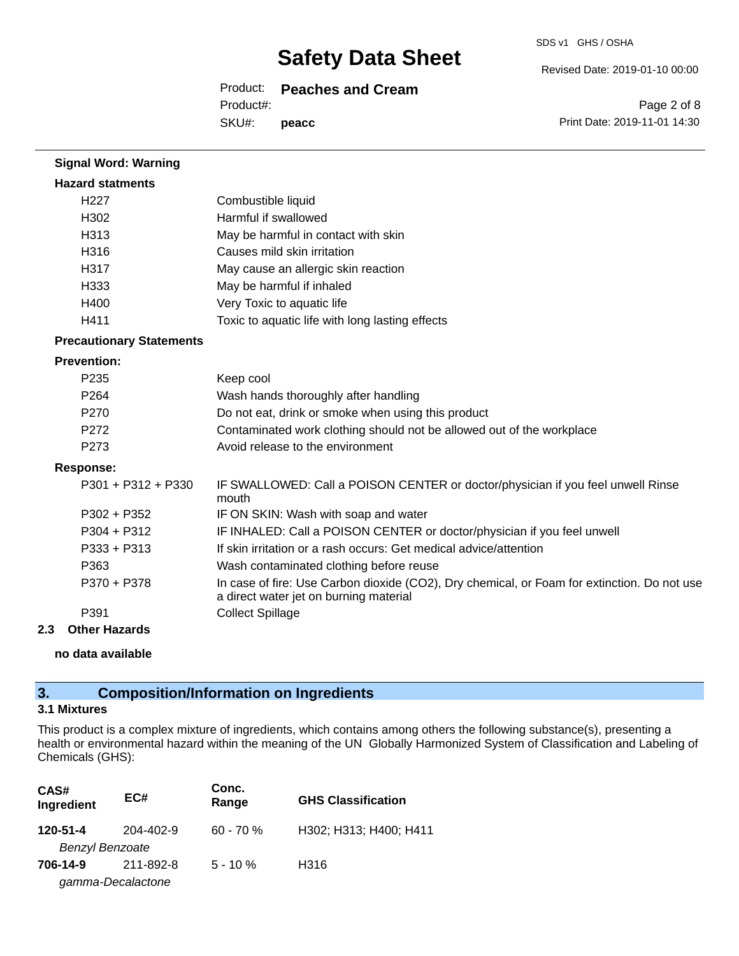SDS v1 GHS / OSHA

Revised Date: 2019-01-10 00:00

## Product: **Peaches and Cream**

Product#:

SKU#: **peacc**

Page 2 of 8 Print Date: 2019-11-01 14:30

| <b>Signal Word: Warning</b>     |                                                                                                                                       |
|---------------------------------|---------------------------------------------------------------------------------------------------------------------------------------|
| <b>Hazard statments</b>         |                                                                                                                                       |
| H <sub>227</sub>                | Combustible liquid                                                                                                                    |
| H302                            | Harmful if swallowed                                                                                                                  |
| H313                            | May be harmful in contact with skin                                                                                                   |
| H316                            | Causes mild skin irritation                                                                                                           |
| H317                            | May cause an allergic skin reaction                                                                                                   |
| H333                            | May be harmful if inhaled                                                                                                             |
| H400                            | Very Toxic to aquatic life                                                                                                            |
| H411                            | Toxic to aquatic life with long lasting effects                                                                                       |
| <b>Precautionary Statements</b> |                                                                                                                                       |
| <b>Prevention:</b>              |                                                                                                                                       |
| P235                            | Keep cool                                                                                                                             |
| P264                            | Wash hands thoroughly after handling                                                                                                  |
| P270                            | Do not eat, drink or smoke when using this product                                                                                    |
| P272                            | Contaminated work clothing should not be allowed out of the workplace                                                                 |
| P273                            | Avoid release to the environment                                                                                                      |
| <b>Response:</b>                |                                                                                                                                       |
| $P301 + P312 + P330$            | IF SWALLOWED: Call a POISON CENTER or doctor/physician if you feel unwell Rinse<br>mouth                                              |
| P302 + P352                     | IF ON SKIN: Wash with soap and water                                                                                                  |
| P304 + P312                     | IF INHALED: Call a POISON CENTER or doctor/physician if you feel unwell                                                               |
| P333 + P313                     | If skin irritation or a rash occurs: Get medical advice/attention                                                                     |
| P363                            | Wash contaminated clothing before reuse                                                                                               |
| P370 + P378                     | In case of fire: Use Carbon dioxide (CO2), Dry chemical, or Foam for extinction. Do not use<br>a direct water jet on burning material |
| P391                            | <b>Collect Spillage</b>                                                                                                               |
| <b>Other Hazards</b><br>2.3     |                                                                                                                                       |

**no data available**

## **3. Composition/Information on Ingredients**

### **3.1 Mixtures**

This product is a complex mixture of ingredients, which contains among others the following substance(s), presenting a health or environmental hazard within the meaning of the UN Globally Harmonized System of Classification and Labeling of Chemicals (GHS):

| CAS#<br>Ingredient     | EC#               | Conc.<br>Range | <b>GHS Classification</b> |
|------------------------|-------------------|----------------|---------------------------|
| 120-51-4               | 204-402-9         | $60 - 70%$     | H302; H313; H400; H411    |
| <b>Benzyl Benzoate</b> |                   |                |                           |
| 706-14-9               | 211-892-8         | $5 - 10 \%$    | H316                      |
|                        | gamma-Decalactone |                |                           |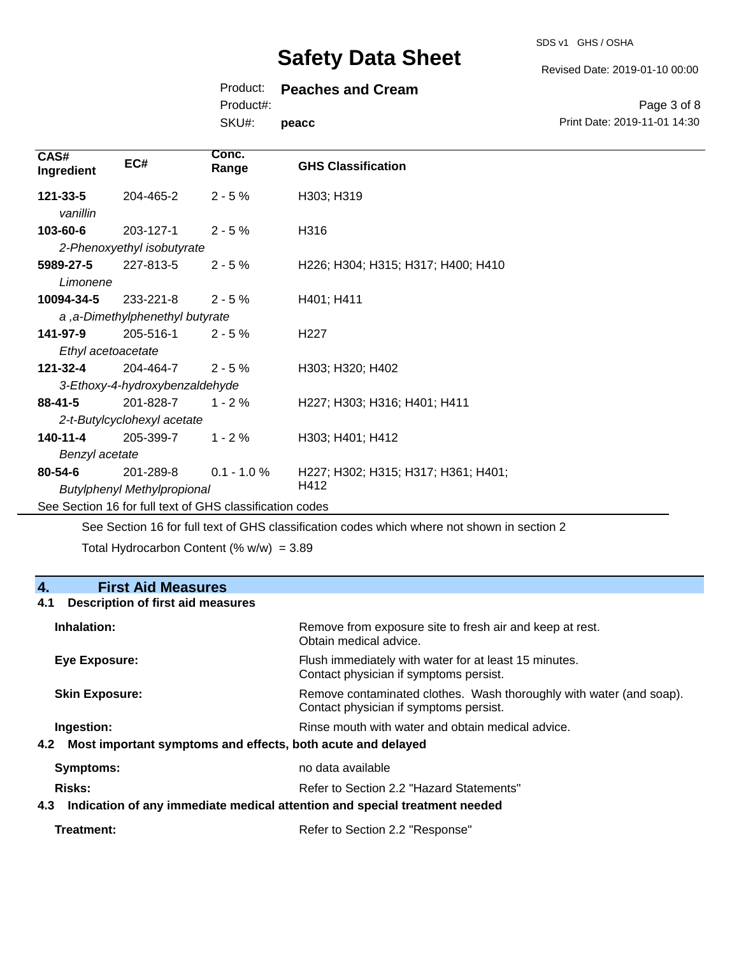SDS v1 GHS / OSHA

Revised Date: 2019-01-10 00:00

Print Date: 2019-11-01 14:30

Page 3 of 8

### Product: **Peaches and Cream**

Product#:

SKU#: **peacc**

| CAS#<br>Ingredient   | EC#                                | Conc.<br>Range | <b>GHS Classification</b>           |
|----------------------|------------------------------------|----------------|-------------------------------------|
| 121-33-5<br>vanillin | 204-465-2                          | $2 - 5%$       | H303; H319                          |
| 103-60-6             | 203-127-1                          | $2 - 5%$       | H316                                |
|                      | 2-Phenoxyethyl isobutyrate         |                |                                     |
| 5989-27-5            | 227-813-5                          | $2 - 5%$       | H226; H304; H315; H317; H400; H410  |
| Limonene             |                                    |                |                                     |
| 10094-34-5           | 233-221-8                          | $2 - 5%$       | H401; H411                          |
|                      | a, a-Dimethylphenethyl butyrate    |                |                                     |
| 141-97-9             | 205-516-1                          | $2 - 5%$       | H <sub>22</sub> 7                   |
| Ethyl acetoacetate   |                                    |                |                                     |
| 121-32-4             | 204-464-7                          | $2 - 5%$       | H303; H320; H402                    |
|                      | 3-Ethoxy-4-hydroxybenzaldehyde     |                |                                     |
| $88 - 41 - 5$        | 201-828-7                          | $1 - 2\%$      | H227; H303; H316; H401; H411        |
|                      | 2-t-Butylcyclohexyl acetate        |                |                                     |
| 140-11-4             | 205-399-7                          | $1 - 2%$       | H303; H401; H412                    |
| Benzyl acetate       |                                    |                |                                     |
| $80 - 54 - 6$        | 201-289-8                          | $0.1 - 1.0 %$  | H227; H302; H315; H317; H361; H401; |
|                      | <b>Butylphenyl Methylpropional</b> |                | H412                                |

See Section 16 for full text of GHS classification codes

See Section 16 for full text of GHS classification codes which where not shown in section 2

Total Hydrocarbon Content (%  $w/w$ ) = 3.89

## **4. First Aid Measures**

### **4.1 Description of first aid measures**

| Inhalation:                                                     | Remove from exposure site to fresh air and keep at rest.<br>Obtain medical advice.                            |
|-----------------------------------------------------------------|---------------------------------------------------------------------------------------------------------------|
| Eye Exposure:                                                   | Flush immediately with water for at least 15 minutes.<br>Contact physician if symptoms persist.               |
| <b>Skin Exposure:</b>                                           | Remove contaminated clothes. Wash thoroughly with water (and soap).<br>Contact physician if symptoms persist. |
| Ingestion:                                                      | Rinse mouth with water and obtain medical advice.                                                             |
| 4.2 Most important symptoms and effects, both acute and delayed |                                                                                                               |
| <b>Symptoms:</b>                                                | no data available                                                                                             |
| Risks:                                                          | Refer to Section 2.2 "Hazard Statements"                                                                      |
| 4.3                                                             | Indication of any immediate medical attention and special treatment needed                                    |

| Refer to Section 2.2 "Response" |  |
|---------------------------------|--|
|                                 |  |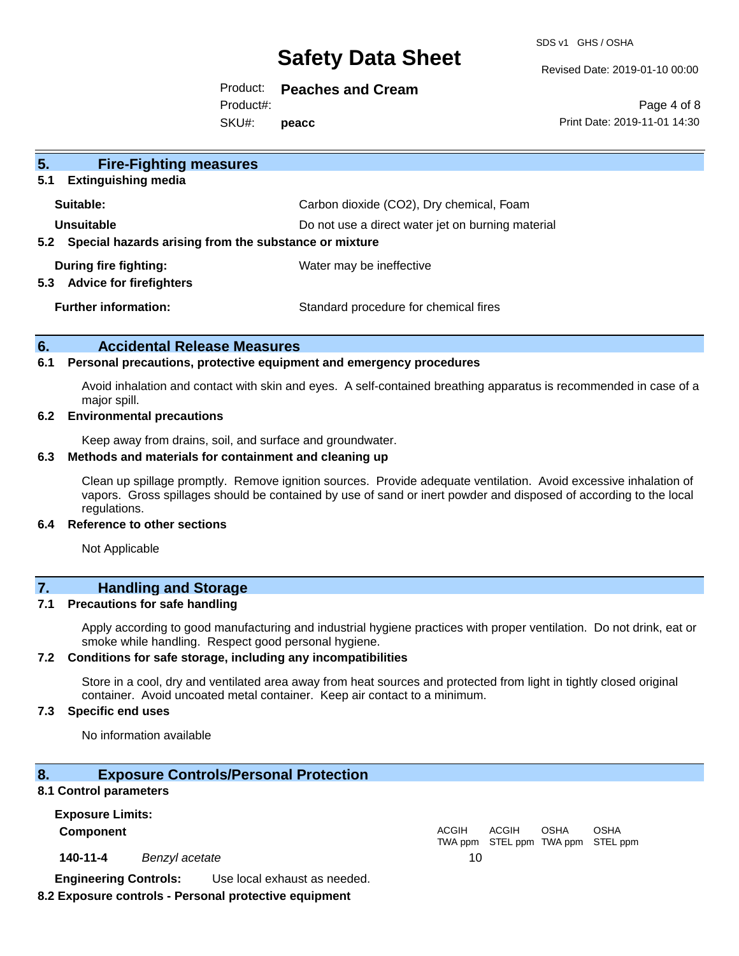SDS v1 GHS / OSHA

Revised Date: 2019-01-10 00:00

Product: **Peaches and Cream** SKU#: Product#: **peacc**

Page 4 of 8 Print Date: 2019-11-01 14:30

| 5.<br><b>Fire-Fighting measures</b><br><b>Extinguishing media</b><br>5.1   |                                                   |
|----------------------------------------------------------------------------|---------------------------------------------------|
| Suitable:                                                                  | Carbon dioxide (CO2), Dry chemical, Foam          |
| Unsuitable<br>Special hazards arising from the substance or mixture<br>5.2 | Do not use a direct water jet on burning material |
| During fire fighting:<br><b>Advice for firefighters</b><br>5.3             | Water may be ineffective                          |
| <b>Further information:</b>                                                | Standard procedure for chemical fires             |

### **6. Accidental Release Measures**

### **6.1 Personal precautions, protective equipment and emergency procedures**

Avoid inhalation and contact with skin and eyes. A self-contained breathing apparatus is recommended in case of a major spill.

### **6.2 Environmental precautions**

Keep away from drains, soil, and surface and groundwater.

#### **6.3 Methods and materials for containment and cleaning up**

Clean up spillage promptly. Remove ignition sources. Provide adequate ventilation. Avoid excessive inhalation of vapors. Gross spillages should be contained by use of sand or inert powder and disposed of according to the local regulations.

#### **6.4 Reference to other sections**

Not Applicable

## **7. Handling and Storage**

### **7.1 Precautions for safe handling**

Apply according to good manufacturing and industrial hygiene practices with proper ventilation. Do not drink, eat or smoke while handling. Respect good personal hygiene.

### **7.2 Conditions for safe storage, including any incompatibilities**

Store in a cool, dry and ventilated area away from heat sources and protected from light in tightly closed original container. Avoid uncoated metal container. Keep air contact to a minimum.

### **7.3 Specific end uses**

No information available

### **8. Exposure Controls/Personal Protection**

### **8.1 Control parameters**

**Exposure Limits: Component** ACGIH

**140-11-4** *Benzyl acetate* 10

TWA ppm STEL ppm TWA ppm STEL ppm ACGIH OSHA OSHA

**Engineering Controls:** Use local exhaust as needed.

### **8.2 Exposure controls - Personal protective equipment**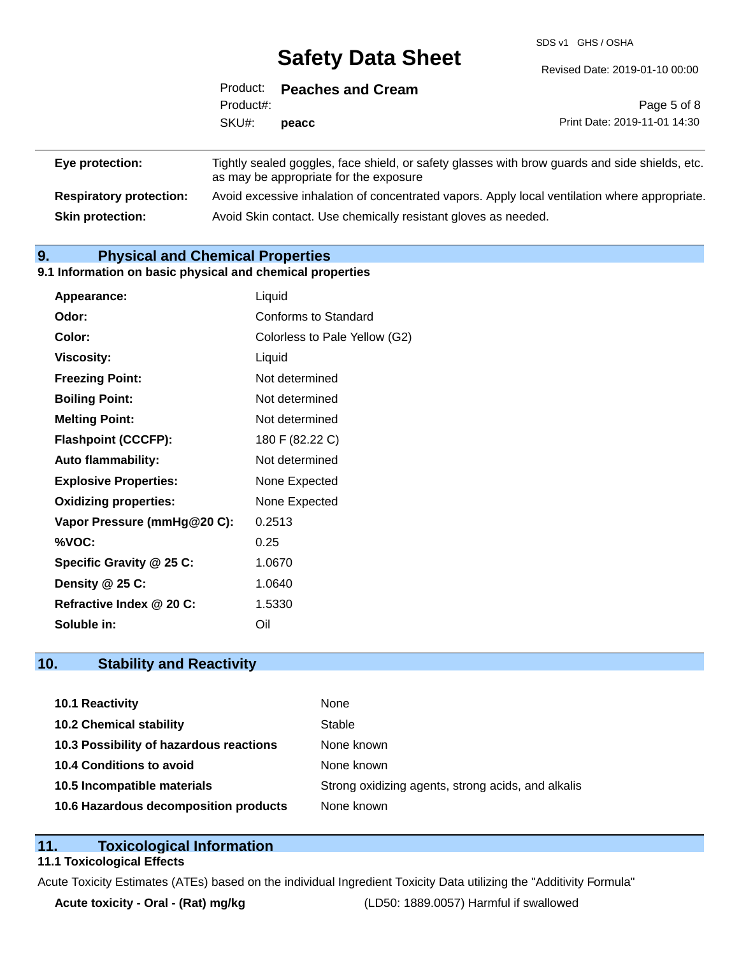SDS v1 GHS / OSHA

|                 | Product:  | <b>Peaches and Cream</b>               |                                                                                                |
|-----------------|-----------|----------------------------------------|------------------------------------------------------------------------------------------------|
|                 | Product#: |                                        | Page 5 of 8                                                                                    |
|                 | SKU#:     | peacc                                  | Print Date: 2019-11-01 14:30                                                                   |
| Eye protection: |           | as may be appropriate for the exposure | Tightly sealed goggles, face shield, or safety glasses with brow guards and side shields, etc. |

**Respiratory protection:** Avoid excessive inhalation of concentrated vapors. Apply local ventilation where appropriate. **Skin protection:** Avoid Skin contact. Use chemically resistant gloves as needed.

## **9. Physical and Chemical Properties**

### **9.1 Information on basic physical and chemical properties**

| Appearance:                  | Liquid                        |
|------------------------------|-------------------------------|
| Odor:                        | Conforms to Standard          |
| Color:                       | Colorless to Pale Yellow (G2) |
| <b>Viscosity:</b>            | Liquid                        |
| <b>Freezing Point:</b>       | Not determined                |
| <b>Boiling Point:</b>        | Not determined                |
| <b>Melting Point:</b>        | Not determined                |
| <b>Flashpoint (CCCFP):</b>   | 180 F (82.22 C)               |
| <b>Auto flammability:</b>    | Not determined                |
| <b>Explosive Properties:</b> | None Expected                 |
| <b>Oxidizing properties:</b> | None Expected                 |
| Vapor Pressure (mmHg@20 C):  | 0.2513                        |
| %VOC:                        | 0.25                          |
| Specific Gravity @ 25 C:     | 1.0670                        |
| Density $@25C$ :             | 1.0640                        |
| Refractive Index @ 20 C:     | 1.5330                        |
| <b>Soluble in:</b>           | Oil                           |

## **10. Stability and Reactivity**

| 10.1 Reactivity                         | None                                               |
|-----------------------------------------|----------------------------------------------------|
| <b>10.2 Chemical stability</b>          | Stable                                             |
| 10.3 Possibility of hazardous reactions | None known                                         |
| 10.4 Conditions to avoid                | None known                                         |
| 10.5 Incompatible materials             | Strong oxidizing agents, strong acids, and alkalis |
| 10.6 Hazardous decomposition products   | None known                                         |

### **11. Toxicological Information**

### **11.1 Toxicological Effects**

Acute Toxicity Estimates (ATEs) based on the individual Ingredient Toxicity Data utilizing the "Additivity Formula"

**Acute toxicity - Oral - (Rat) mg/kg** (LD50: 1889.0057) Harmful if swallowed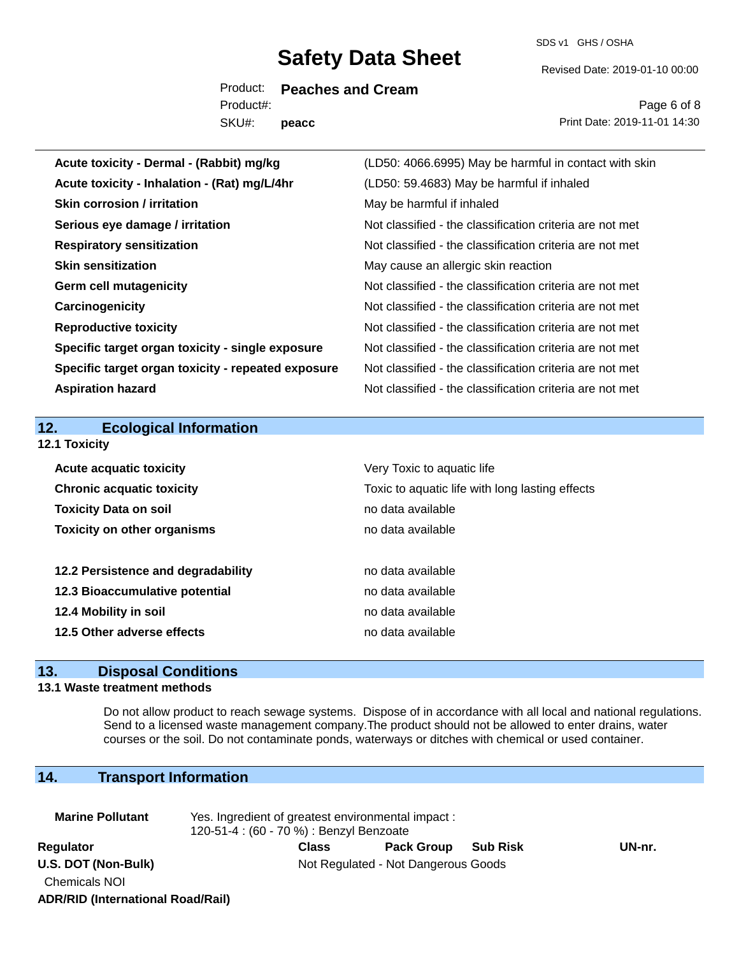SDS v1 GHS / OSHA

Revised Date: 2019-01-10 00:00

Product: **Peaches and Cream** SKU#: Product#: **peacc**

Page 6 of 8 Print Date: 2019-11-01 14:30

| Acute toxicity - Dermal - (Rabbit) mg/kg           | (LD50: 4066.6995) May be harmful in contact with skin    |
|----------------------------------------------------|----------------------------------------------------------|
| Acute toxicity - Inhalation - (Rat) mg/L/4hr       | (LD50: 59.4683) May be harmful if inhaled                |
| <b>Skin corrosion / irritation</b>                 | May be harmful if inhaled                                |
| Serious eye damage / irritation                    | Not classified - the classification criteria are not met |
| <b>Respiratory sensitization</b>                   | Not classified - the classification criteria are not met |
| <b>Skin sensitization</b>                          | May cause an allergic skin reaction                      |
| <b>Germ cell mutagenicity</b>                      | Not classified - the classification criteria are not met |
| Carcinogenicity                                    | Not classified - the classification criteria are not met |
| <b>Reproductive toxicity</b>                       | Not classified - the classification criteria are not met |
| Specific target organ toxicity - single exposure   | Not classified - the classification criteria are not met |
| Specific target organ toxicity - repeated exposure | Not classified - the classification criteria are not met |
| <b>Aspiration hazard</b>                           | Not classified - the classification criteria are not met |
|                                                    |                                                          |
|                                                    |                                                          |
| 12.<br><b>Ecological Information</b>               |                                                          |
| 12.1 Toxicity                                      |                                                          |
| <b>Acute acquatic toxicity</b>                     | Very Toxic to aquatic life                               |
| <b>Chronic acquatic toxicity</b>                   | Toxic to aquatic life with long lasting effects          |
| <b>Toxicity Data on soil</b>                       | no data available                                        |
| <b>Toxicity on other organisms</b>                 | no data available                                        |
|                                                    |                                                          |
| 12.2 Persistence and degradability                 | no data available                                        |
| 12.3 Bioaccumulative potential                     | no data available                                        |
| 12.4 Mobility in soil                              | no data available                                        |
| 12.5 Other adverse effects                         | no data available                                        |

### **13. Disposal Conditions**

### **13.1 Waste treatment methods**

Do not allow product to reach sewage systems. Dispose of in accordance with all local and national regulations. Send to a licensed waste management company.The product should not be allowed to enter drains, water courses or the soil. Do not contaminate ponds, waterways or ditches with chemical or used container.

## **14. Transport Information**

**ADR/RID (International Road/Rail)**

| <b>Marine Pollutant</b>                     | Yes. Ingredient of greatest environmental impact:<br>120-51-4 : (60 - 70 %) : Benzyl Benzoate |              |                                     |                 |        |  |
|---------------------------------------------|-----------------------------------------------------------------------------------------------|--------------|-------------------------------------|-----------------|--------|--|
| Regulator                                   |                                                                                               | <b>Class</b> | <b>Pack Group</b>                   | <b>Sub Risk</b> | UN-nr. |  |
| U.S. DOT (Non-Bulk)<br><b>Chemicals NOI</b> |                                                                                               |              | Not Regulated - Not Dangerous Goods |                 |        |  |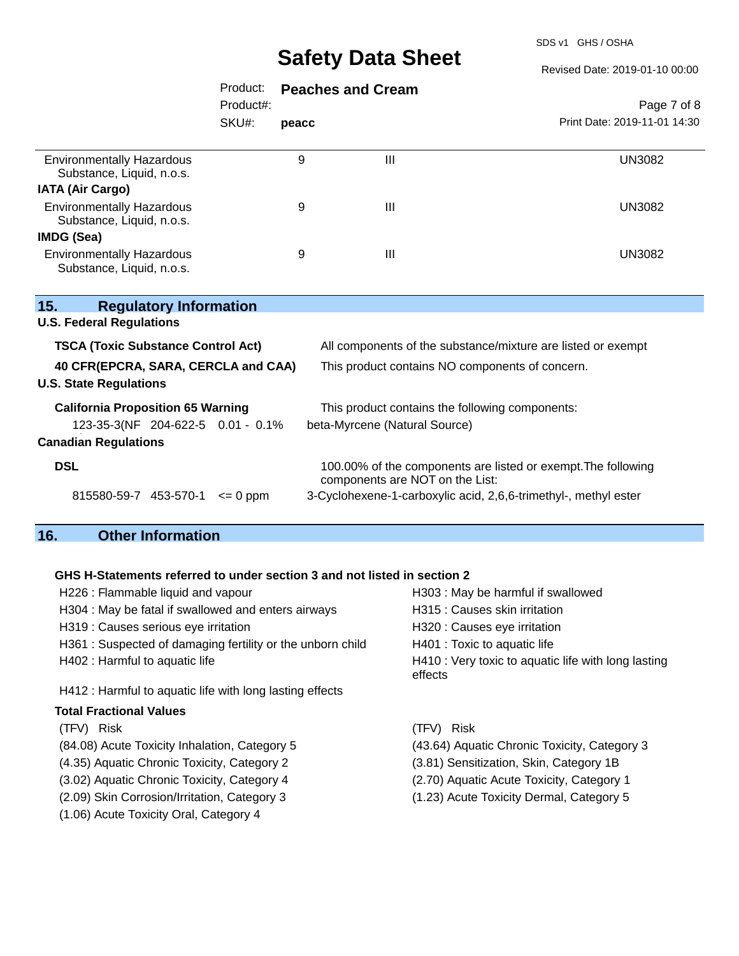SDS v1 GHS / OSHA

## $R = 15.42884400000$

|                                                               |              |                               |                                                                                                  | Revised Date: 2019-01-10 00:00 |  |
|---------------------------------------------------------------|--------------|-------------------------------|--------------------------------------------------------------------------------------------------|--------------------------------|--|
|                                                               | Product:     |                               | <b>Peaches and Cream</b>                                                                         |                                |  |
|                                                               | Product#:    |                               |                                                                                                  | Page 7 of 8                    |  |
|                                                               | SKU#:        | peacc                         |                                                                                                  | Print Date: 2019-11-01 14:30   |  |
| <b>Environmentally Hazardous</b><br>Substance, Liquid, n.o.s. |              | 9                             | III                                                                                              | <b>UN3082</b>                  |  |
| <b>IATA (Air Cargo)</b>                                       |              |                               |                                                                                                  |                                |  |
| <b>Environmentally Hazardous</b><br>Substance, Liquid, n.o.s. |              | 9                             | Ш                                                                                                | <b>UN3082</b>                  |  |
| <b>IMDG (Sea)</b>                                             |              |                               |                                                                                                  |                                |  |
| <b>Environmentally Hazardous</b><br>Substance, Liquid, n.o.s. |              | 9                             | Ш                                                                                                | <b>UN3082</b>                  |  |
| <b>Regulatory Information</b><br>15.                          |              |                               |                                                                                                  |                                |  |
| <b>U.S. Federal Regulations</b>                               |              |                               |                                                                                                  |                                |  |
| <b>TSCA (Toxic Substance Control Act)</b>                     |              |                               | All components of the substance/mixture are listed or exempt                                     |                                |  |
| 40 CFR(EPCRA, SARA, CERCLA and CAA)                           |              |                               | This product contains NO components of concern.                                                  |                                |  |
| <b>U.S. State Regulations</b>                                 |              |                               |                                                                                                  |                                |  |
| <b>California Proposition 65 Warning</b>                      |              |                               | This product contains the following components:                                                  |                                |  |
| 123-35-3(NF 204-622-5 0.01 - 0.1%                             |              | beta-Myrcene (Natural Source) |                                                                                                  |                                |  |
| <b>Canadian Regulations</b>                                   |              |                               |                                                                                                  |                                |  |
| <b>DSL</b>                                                    |              |                               | 100.00% of the components are listed or exempt. The following<br>components are NOT on the List: |                                |  |
| 815580-59-7 453-570-1                                         | $\leq 0$ ppm |                               | 3-Cyclohexene-1-carboxylic acid, 2,6,6-trimethyl-, methyl ester                                  |                                |  |

# **16. Other Information**

### **GHS H-Statements referred to under section 3 and not listed in section 2**

| H226 : Flammable liquid and vapour                         | H303: May be harmful if swallowed                              |  |  |  |
|------------------------------------------------------------|----------------------------------------------------------------|--|--|--|
| H304 : May be fatal if swallowed and enters airways        | H315 : Causes skin irritation                                  |  |  |  |
| H319 : Causes serious eye irritation                       | H320 : Causes eye irritation                                   |  |  |  |
| H361 : Suspected of damaging fertility or the unborn child | H401 : Toxic to aquatic life                                   |  |  |  |
| H402 : Harmful to aquatic life                             | H410 : Very toxic to aquatic life with long lasting<br>effects |  |  |  |
| H412: Harmful to aquatic life with long lasting effects    |                                                                |  |  |  |
| <b>Total Fractional Values</b>                             |                                                                |  |  |  |
| (TFV) Risk                                                 | (TFV) Risk                                                     |  |  |  |
| (84.08) Acute Toxicity Inhalation, Category 5              | (43.64) Aquatic Chronic Toxicity, Category 3                   |  |  |  |
| (4.35) Aquatic Chronic Toxicity, Category 2                | (3.81) Sensitization, Skin, Category 1B                        |  |  |  |
| (3.02) Aquatic Chronic Toxicity, Category 4                | (2.70) Aquatic Acute Toxicity, Category 1                      |  |  |  |
| (2.09) Skin Corrosion/Irritation, Category 3               | (1.23) Acute Toxicity Dermal, Category 5                       |  |  |  |
| (1.06) Acute Toxicity Oral, Category 4                     |                                                                |  |  |  |